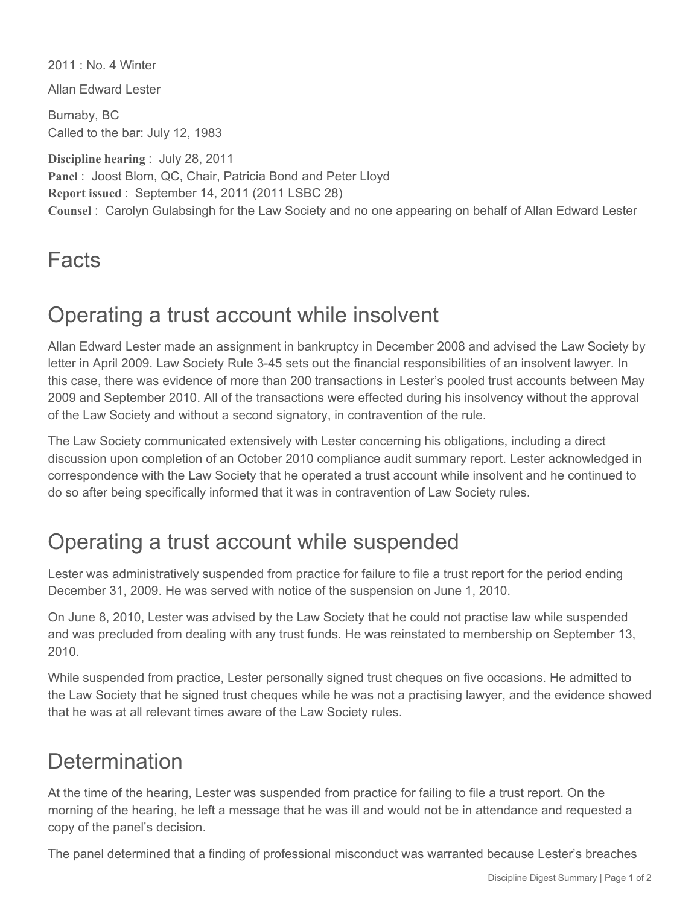2011 : No. 4 Winter

Allan Edward Lester

Burnaby, BC Called to the bar: July 12, 1983

**Discipline hearing** : July 28, 2011 **Panel** : Joost Blom, QC, Chair, Patricia Bond and Peter Lloyd **Report issued** : September 14, 2011 (2011 LSBC 28) **Counsel** : Carolyn Gulabsingh for the Law Society and no one appearing on behalf of Allan Edward Lester

#### **Facts**

### Operating a trust account while insolvent

Allan Edward Lester made an assignment in bankruptcy in December 2008 and advised the Law Society by letter in April 2009. Law Society Rule 3-45 sets out the financial responsibilities of an insolvent lawyer. In this case, there was evidence of more than 200 transactions in Lester's pooled trust accounts between May 2009 and September 2010. All of the transactions were effected during his insolvency without the approval of the Law Society and without a second signatory, in contravention of the rule.

The Law Society communicated extensively with Lester concerning his obligations, including a direct discussion upon completion of an October 2010 compliance audit summary report. Lester acknowledged in correspondence with the Law Society that he operated a trust account while insolvent and he continued to do so after being specifically informed that it was in contravention of Law Society rules.

### Operating a trust account while suspended

Lester was administratively suspended from practice for failure to file a trust report for the period ending December 31, 2009. He was served with notice of the suspension on June 1, 2010.

On June 8, 2010, Lester was advised by the Law Society that he could not practise law while suspended and was precluded from dealing with any trust funds. He was reinstated to membership on September 13, 2010.

While suspended from practice, Lester personally signed trust cheques on five occasions. He admitted to the Law Society that he signed trust cheques while he was not a practising lawyer, and the evidence showed that he was at all relevant times aware of the Law Society rules.

# **Determination**

At the time of the hearing, Lester was suspended from practice for failing to file a trust report. On the morning of the hearing, he left a message that he was ill and would not be in attendance and requested a copy of the panel's decision.

The panel determined that a finding of professional misconduct was warranted because Lester's breaches